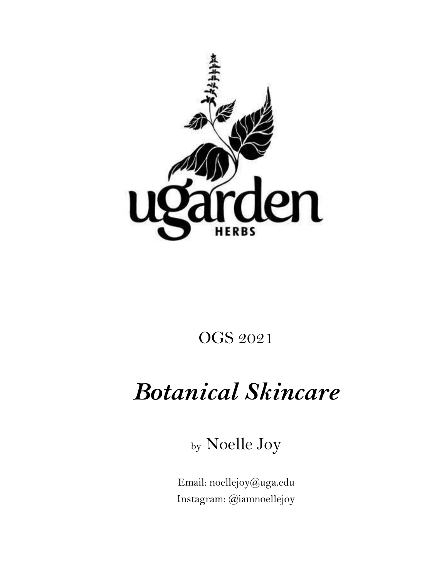

## OGS 2021

# *Botanical Skincare*

by Noelle Joy

Email: noellejoy@uga.edu Instagram: @iamnoellejoy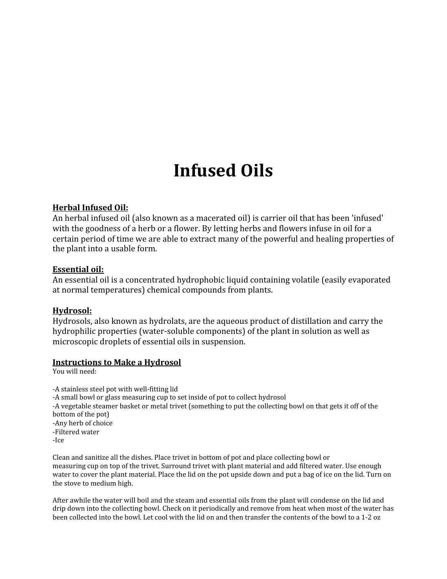## **Infused Oils**

#### **Herbal Infused Oil:**

An herbal infused oil (also known as a macerated oil) is carrier oil that has been 'infused' with the goodness of a herb or a flower. By letting herbs and flowers infuse in oil for a certain period of time we are able to extract many of the powerful and healing properties of the plant into a usable form.

#### **Essential oil:**

An essential oil is a concentrated hydrophobic liquid containing volatile (easily evaporated at normal temperatures) chemical compounds from plants.

#### **Hydrosol:**

Hydrosols, also known as hydrolats, are the aqueous product of distillation and carry the hydrophilic properties (water-soluble components) of the plant in solution as well as microscopic droplets of essential oils in suspension.

#### **Instructions to Make a Hydrosol**

You will need:

-A stainless steel pot with well-fitting lid -A small bowl or glass measuring cup to set inside of pot to collect hydrosol -A vegetable steamer basket or metal trivet (something to put the collecting bowl on that gets it off of the bottom of the pot) -Any herb of choice -Filtered water -Ice

Clean and sanitize all the dishes. Place trivet in bottom of pot and place collecting bowl or measuring cup on top of the trivet. Surround trivet with plant material and add filtered water. Use enough water to cover the plant material. Place the lid on the pot upside down and put a bag of ice on the lid. Turn on the stove to medium high.

After awhile the water will boil and the steam and essential oils from the plant will condense on the lid and drip down into the collecting bowl. Check on it periodically and remove from heat when most of the water has been collected into the bowl. Let cool with the lid on and then transfer the contents of the bowl to a 1-2 oz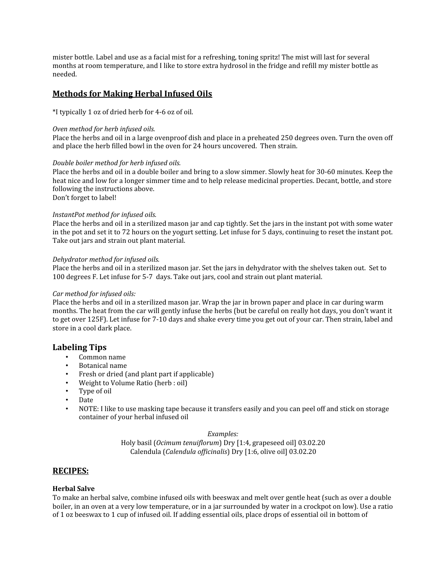mister bottle. Label and use as a facial mist for a refreshing, toning spritz! The mist will last for several months at room temperature, and I like to store extra hydrosol in the fridge and refill my mister bottle as needed.

#### **Methods for Making Herbal Infused Oils**

\*I typically 1 oz of dried herb for 4-6 oz of oil.

#### *Oven method for herb infused oils.*

Place the herbs and oil in a large ovenproof dish and place in a preheated 250 degrees oven. Turn the oven off and place the herb filled bowl in the oven for 24 hours uncovered. Then strain.

#### *Double boiler method for herb infused oils.*

Place the herbs and oil in a double boiler and bring to a slow simmer. Slowly heat for 30-60 minutes. Keep the heat nice and low for a longer simmer time and to help release medicinal properties. Decant, bottle, and store following the instructions above.

Don't forget to label!

#### *InstantPot method for infused oils.*

Place the herbs and oil in a sterilized mason jar and cap tightly. Set the jars in the instant pot with some water in the pot and set it to 72 hours on the yogurt setting. Let infuse for 5 days, continuing to reset the instant pot. Take out jars and strain out plant material.

#### *Dehydrator method for infused oils.*

Place the herbs and oil in a sterilized mason jar. Set the jars in dehydrator with the shelves taken out. Set to 100 degrees F. Let infuse for 5-7 days. Take out jars, cool and strain out plant material.

#### *Car method for infused oils:*

Place the herbs and oil in a sterilized mason jar. Wrap the jar in brown paper and place in car during warm months. The heat from the car will gently infuse the herbs (but be careful on really hot days, you don't want it to get over 125F). Let infuse for 7-10 days and shake every time you get out of your car. Then strain, label and store in a cool dark place.

#### **Labeling Tips**

- Common name
- Botanical name
- Fresh or dried (and plant part if applicable)
- Weight to Volume Ratio (herb : oil)
- Type of oil
- Date
- NOTE: I like to use masking tape because it transfers easily and you can peel off and stick on storage container of your herbal infused oil

#### *Examples:*

Holy basil (*Ocimum tenuiflorum*) Dry [1:4, grapeseed oil] 03.02.20 Calendula (*Calendula of icinalis*) Dry [1:6, olive oil] 03.02.20

#### **RECIPES:**

#### **Herbal Salve**

To make an herbal salve, combine infused oils with beeswax and melt over gentle heat (such as over a double boiler, in an oven at a very low temperature, or in a jar surrounded by water in a crockpot on low). Use a ratio of 1 oz beeswax to 1 cup of infused oil. If adding essential oils, place drops of essential oil in bottom of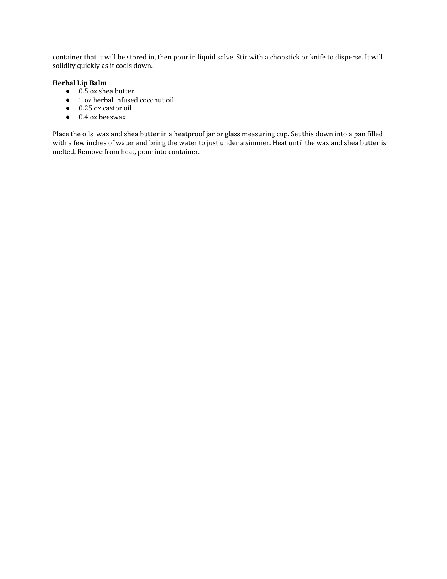container that it will be stored in, then pour in liquid salve. Stir with a chopstick or knife to disperse. It will solidify quickly as it cools down.

#### **Herbal Lip Balm**

- $\bullet$  0.5 oz shea butter
- 1 oz herbal infused coconut oil
- 0.25 oz castor oil
- 0.4 oz beeswax

Place the oils, wax and shea butter in a heatproof jar or glass measuring cup. Set this down into a pan filled with a few inches of water and bring the water to just under a simmer. Heat until the wax and shea butter is melted. Remove from heat, pour into container.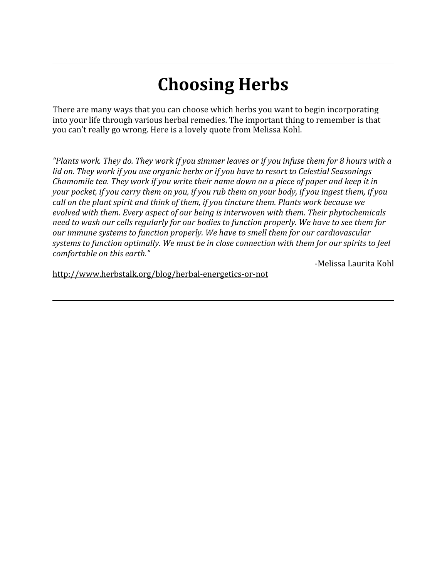## **Choosing Herbs**

There are many ways that you can choose which herbs you want to begin incorporating into your life through various herbal remedies. The important thing to remember is that you can't really go wrong. Here is a lovely quote from Melissa Kohl.

*"Plants work. They do. They work if you simmer leaves or if you infuse them for 8 hours with a lid on. They work if you use organic herbs or if you have to resort to Celestial Seasonings Chamomile tea. They work if you write their name down on a piece of paper and keep it in your pocket, if you carry them on you, if you rub them on your body, if you ingest them, if you call on the plant spirit and think of them, if you tincture them. Plants work because we evolved with them. Every aspect of our being is interwoven with them. Their phytochemicals need to wash our cells regularly for our bodies to function properly. We have to see them for our immune systems to function properly. We have to smell them for our cardiovascular systems to function optimally. We must be in close connection with them for our spirits to feel comfortable on this earth."*

-Melissa Laurita Kohl

<http://www.herbstalk.org/blog/herbal-energetics-or-not>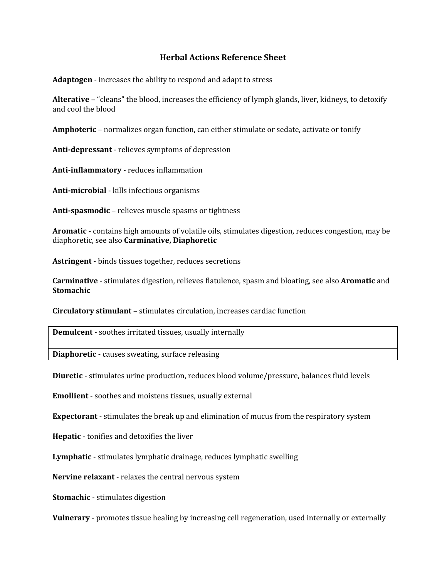#### **Herbal Actions Reference Sheet**

**Adaptogen** - increases the ability to respond and adapt to stress

**Alterative** – "cleans" the blood, increases the efficiency of lymph glands, liver, kidneys, to detoxify and cool the blood

**Amphoteric** – normalizes organ function, can either stimulate or sedate, activate or tonify

**Anti-depressant** - relieves symptoms of depression

**Anti-inflammatory** - reduces inflammation

**Anti-microbial** - kills infectious organisms

**Anti-spasmodic** – relieves muscle spasms or tightness

**Aromatic -** contains high amounts of volatile oils, stimulates digestion, reduces congestion, may be diaphoretic, see also **Carminative, Diaphoretic**

**Astringent -** binds tissues together, reduces secretions

**Carminative** - stimulates digestion, relieves flatulence, spasm and bloating, see also **Aromatic** and **Stomachic**

**Circulatory stimulant** – stimulates circulation, increases cardiac function

**Demulcent** - soothes irritated tissues, usually internally

**Diaphoretic** - causes sweating, surface releasing

**Diuretic** - stimulates urine production, reduces blood volume/pressure, balances fluid levels

**Emollient** - soothes and moistens tissues, usually external

**Expectorant** - stimulates the break up and elimination of mucus from the respiratory system

**Hepatic** - tonifies and detoxifies the liver

**Lymphatic** - stimulates lymphatic drainage, reduces lymphatic swelling

**Nervine relaxant** - relaxes the central nervous system

**Stomachic** - stimulates digestion

**Vulnerary** - promotes tissue healing by increasing cell regeneration, used internally or externally